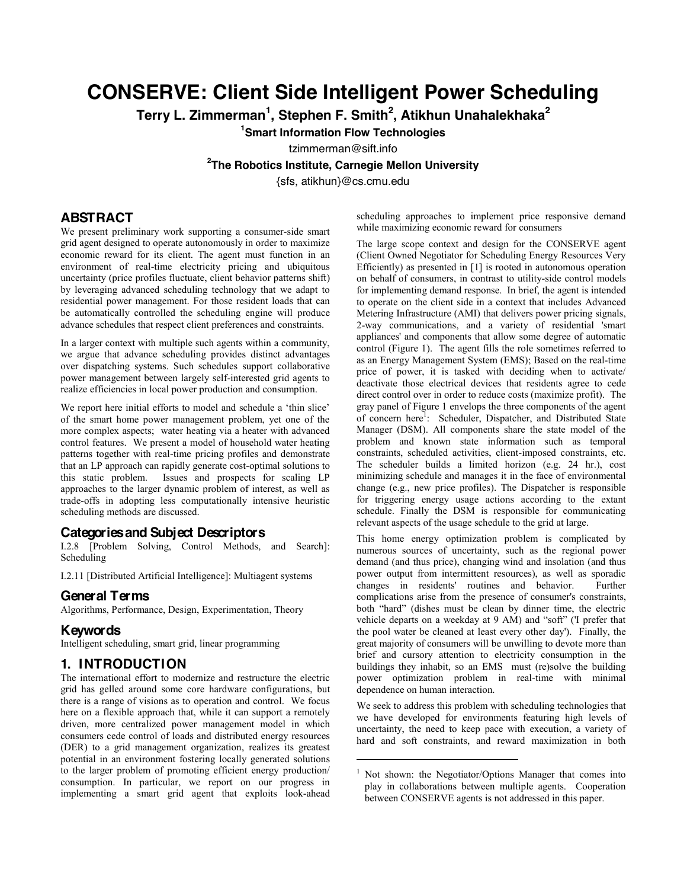# **CONSERVE: Client Side Intelligent Power Scheduling**

**Terry L. Zimmerman<sup>1</sup> , Stephen F. Smith<sup>2</sup> , Atikhun Unahalekhaka<sup>2</sup>**

**1 Smart Information Flow Technologies**

tzimmerman@sift.info

**2 The Robotics Institute, Carnegie Mellon University**

{sfs, atikhun}@cs.cmu.edu

l

# **ABSTRACT**

We present preliminary work supporting a consumer-side smart grid agent designed to operate autonomously in order to maximize economic reward for its client. The agent must function in an environment of real-time electricity pricing and ubiquitous uncertainty (price profiles fluctuate, client behavior patterns shift) by leveraging advanced scheduling technology that we adapt to residential power management. For those resident loads that can be automatically controlled the scheduling engine will produce advance schedules that respect client preferences and constraints.

In a larger context with multiple such agents within a community, we argue that advance scheduling provides distinct advantages over dispatching systems. Such schedules support collaborative power management between largely self-interested grid agents to realize efficiencies in local power production and consumption.

We report here initial efforts to model and schedule a 'thin slice' of the smart home power management problem, yet one of the more complex aspects; water heating via a heater with advanced control features. We present a model of household water heating patterns together with real-time pricing profiles and demonstrate that an LP approach can rapidly generate cost-optimal solutions to this static problem. Issues and prospects for scaling LP approaches to the larger dynamic problem of interest, as well as trade-offs in adopting less computationally intensive heuristic scheduling methods are discussed.

## **Categories and Subject Descriptors**

I.2.8 [Problem Solving, Control Methods, and Search]: Scheduling

I.2.11 [Distributed Artificial Intelligence]: Multiagent systems

## **General Terms**

Algorithms, Performance, Design, Experimentation, Theory

### **Keywords**

Intelligent scheduling, smart grid, linear programming

#### **1. INTRODUCTION**

The international effort to modernize and restructure the electric grid has gelled around some core hardware configurations, but there is a range of visions as to operation and control. We focus here on a flexible approach that, while it can support a remotely driven, more centralized power management model in which consumers cede control of loads and distributed energy resources (DER) to a grid management organization, realizes its greatest potential in an environment fostering locally generated solutions to the larger problem of promoting efficient energy production/ consumption. In particular, we report on our progress in implementing a smart grid agent that exploits look-ahead

scheduling approaches to implement price responsive demand while maximizing economic reward for consumers

The large scope context and design for the CONSERVE agent (Client Owned Negotiator for Scheduling Energy Resources Very Efficiently) as presented in [1] is rooted in autonomous operation on behalf of consumers, in contrast to utility-side control models for implementing demand response. In brief, the agent is intended to operate on the client side in a context that includes Advanced Metering Infrastructure (AMI) that delivers power pricing signals, 2-way communications, and a variety of residential 'smart appliances' and components that allow some degree of automatic control (Figure 1). The agent fills the role sometimes referred to as an Energy Management System (EMS); Based on the real-time price of power, it is tasked with deciding when to activate/ deactivate those electrical devices that residents agree to cede direct control over in order to reduce costs (maximize profit). The gray panel of Figure 1 envelops the three components of the agent of concern here<sup>1</sup>: Scheduler, Dispatcher, and Distributed State Manager (DSM). All components share the state model of the problem and known state information such as temporal constraints, scheduled activities, client-imposed constraints, etc. The scheduler builds a limited horizon (e.g. 24 hr.), cost minimizing schedule and manages it in the face of environmental change (e.g., new price profiles). The Dispatcher is responsible for triggering energy usage actions according to the extant schedule. Finally the DSM is responsible for communicating relevant aspects of the usage schedule to the grid at large.

This home energy optimization problem is complicated by numerous sources of uncertainty, such as the regional power demand (and thus price), changing wind and insolation (and thus power output from intermittent resources), as well as sporadic changes in residents' routines and behavior. Further complications arise from the presence of consumer's constraints, both "hard" (dishes must be clean by dinner time, the electric vehicle departs on a weekday at 9 AM) and "soft" ('I prefer that the pool water be cleaned at least every other day'). Finally, the great majority of consumers will be unwilling to devote more than brief and cursory attention to electricity consumption in the buildings they inhabit, so an EMS must (re)solve the building power optimization problem in real-time with minimal dependence on human interaction.

We seek to address this problem with scheduling technologies that we have developed for environments featuring high levels of uncertainty, the need to keep pace with execution, a variety of hard and soft constraints, and reward maximization in both

 $<sup>1</sup>$  Not shown: the Negotiator/Options Manager that comes into</sup> play in collaborations between multiple agents. Cooperation between CONSERVE agents is not addressed in this paper.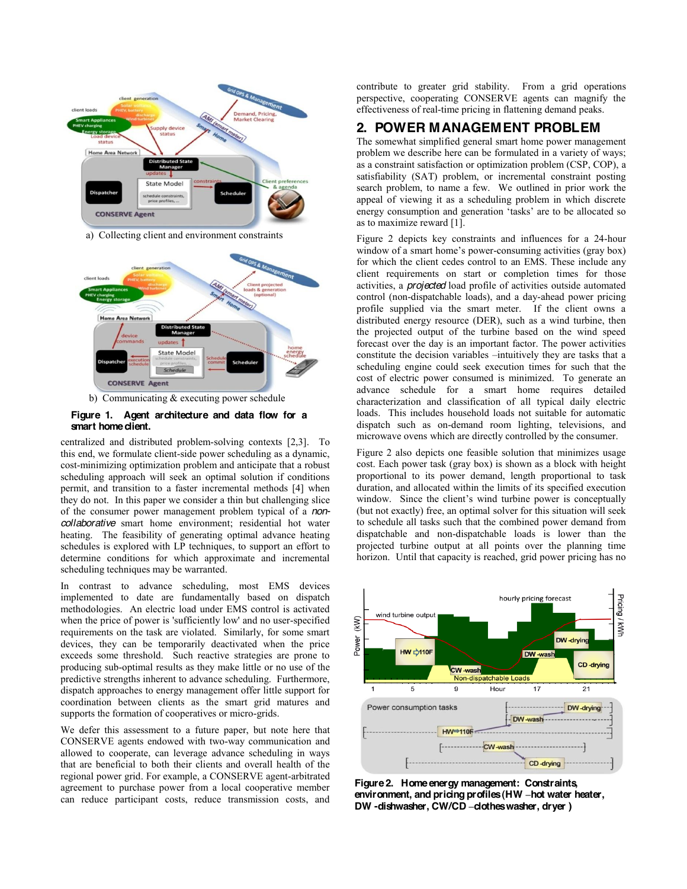

a) Collecting client and environment constraints





#### **Figure 1. Agent architecture and data flow for a smart home client.**

centralized and distributed problem-solving contexts [2,3]. To this end, we formulate client-side power scheduling as a dynamic, cost-minimizing optimization problem and anticipate that a robust scheduling approach will seek an optimal solution if conditions permit, and transition to a faster incremental methods [4] when they do not. In this paper we consider a thin but challenging slice of the consumer power management problem typical of a *noncollaborative* smart home environment; residential hot water heating. The feasibility of generating optimal advance heating schedules is explored with LP techniques, to support an effort to determine conditions for which approximate and incremental scheduling techniques may be warranted.

In contrast to advance scheduling, most EMS devices implemented to date are fundamentally based on dispatch methodologies. An electric load under EMS control is activated when the price of power is 'sufficiently low' and no user-specified requirements on the task are violated. Similarly, for some smart devices, they can be temporarily deactivated when the price exceeds some threshold. Such reactive strategies are prone to producing sub-optimal results as they make little or no use of the predictive strengths inherent to advance scheduling. Furthermore, dispatch approaches to energy management offer little support for coordination between clients as the smart grid matures and supports the formation of cooperatives or micro-grids.

We defer this assessment to a future paper, but note here that CONSERVE agents endowed with two-way communication and allowed to cooperate, can leverage advance scheduling in ways that are beneficial to both their clients and overall health of the regional power grid. For example, a CONSERVE agent-arbitrated agreement to purchase power from a local cooperative member can reduce participant costs, reduce transmission costs, and

contribute to greater grid stability. From a grid operations perspective, cooperating CONSERVE agents can magnify the effectiveness of real-time pricing in flattening demand peaks.

#### **2. POWER MANAGEMENT PROBLEM**

The somewhat simplified general smart home power management problem we describe here can be formulated in a variety of ways; as a constraint satisfaction or optimization problem (CSP, COP), a satisfiability (SAT) problem, or incremental constraint posting search problem, to name a few. We outlined in prior work the appeal of viewing it as a scheduling problem in which discrete energy consumption and generation 'tasks' are to be allocated so as to maximize reward [1].

Figure 2 depicts key constraints and influences for a 24-hour window of a smart home's power-consuming activities (gray box) for which the client cedes control to an EMS. These include any client requirements on start or completion times for those activities, a *projected* load profile of activities outside automated control (non-dispatchable loads), and a day-ahead power pricing profile supplied via the smart meter. If the client owns a distributed energy resource (DER), such as a wind turbine, then the projected output of the turbine based on the wind speed forecast over the day is an important factor. The power activities constitute the decision variables  $-$ intuitively they are tasks that a scheduling engine could seek execution times for such that the cost of electric power consumed is minimized. To generate an advance schedule for a smart home requires detailed characterization and classification of all typical daily electric loads. This includes household loads not suitable for automatic dispatch such as on-demand room lighting, televisions, and microwave ovens which are directly controlled by the consumer.

Figure 2 also depicts one feasible solution that minimizes usage cost. Each power task (gray box) is shown as a block with height proportional to its power demand, length proportional to task duration, and allocated within the limits of its specified execution window. Since the client's wind turbine power is conceptually (but not exactly) free, an optimal solver for this situation will seek to schedule all tasks such that the combined power demand from dispatchable and non-dispatchable loads is lower than the projected turbine output at all points over the planning time horizon. Until that capacity is reached, grid power pricing has no



**Figure 2. Home energy management: Constraints, environment, and pricing profiles (HW ±hot water heater, DW -dishwasher, CW/CD ±clothes washer, dryer )**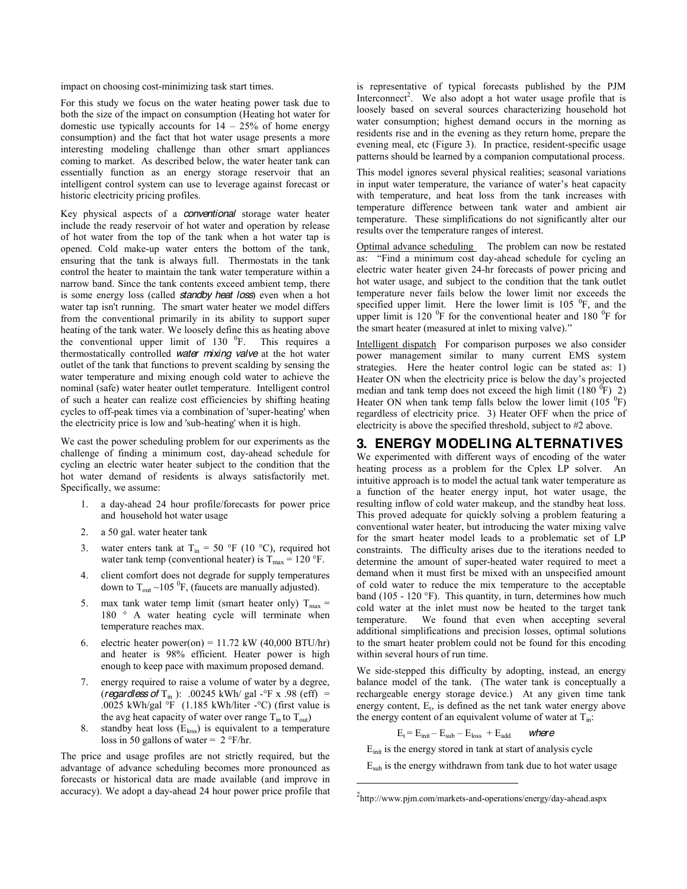impact on choosing cost-minimizing task start times.

For this study we focus on the water heating power task due to both the size of the impact on consumption (Heating hot water for domestic use typically accounts for  $14 - 25%$  of home energy consumption) and the fact that hot water usage presents a more interesting modeling challenge than other smart appliances coming to market. As described below, the water heater tank can essentially function as an energy storage reservoir that an intelligent control system can use to leverage against forecast or historic electricity pricing profiles.

Key physical aspects of a *conventional* storage water heater include the ready reservoir of hot water and operation by release of hot water from the top of the tank when a hot water tap is opened. Cold make-up water enters the bottom of the tank, ensuring that the tank is always full. Thermostats in the tank control the heater to maintain the tank water temperature within a narrow band. Since the tank contents exceed ambient temp, there is some energy loss (called *standby heat loss*) even when a hot water tap isn't running. The smart water heater we model differs from the conventional primarily in its ability to support super heating of the tank water. We loosely define this as heating above the conventional upper limit of  $130<sup>0</sup>F$ . This requires a thermostatically controlled *water mixing valve* at the hot water outlet of the tank that functions to prevent scalding by sensing the water temperature and mixing enough cold water to achieve the nominal (safe) water heater outlet temperature. Intelligent control of such a heater can realize cost efficiencies by shifting heating cycles to off-peak times via a combination of 'super-heating' when the electricity price is low and 'sub-heating' when it is high.

We cast the power scheduling problem for our experiments as the challenge of finding a minimum cost, day-ahead schedule for cycling an electric water heater subject to the condition that the hot water demand of residents is always satisfactorily met. Specifically, we assume:

- 1. a day-ahead 24 hour profile/forecasts for power price and household hot water usage
- 2. a 50 gal. water heater tank
- 3. water enters tank at  $T_{in} = 50$  °F (10 °C), required hot water tank temp (conventional heater) is  $T_{\text{max}} = 120 \text{ °F}$ .
- 4. client comfort does not degrade for supply temperatures down to  $T_{\text{out}} \sim 105 \text{ °F}$ , (faucets are manually adjusted).
- 5. max tank water temp limit (smart heater only)  $T_{\text{max}} =$ 180 ° A water heating cycle will terminate when temperature reaches max.
- 6. electric heater power(on) =  $11.72 \text{ kW}$  (40,000 BTU/hr) and heater is 98% efficient. Heater power is high enough to keep pace with maximum proposed demand.
- 7. energy required to raise a volume of water by a degree, (*regardless of*  $T_{in}$ ): .00245 kWh/ gal -°F x .98 (eff) = .0025 kWh/gal  $\textdegree$ F (1.185 kWh/liter - $\textdegree$ C) (first value is the avg heat capacity of water over range  $T_{in}$  to  $T_{out}$ )
- 8. standby heat loss  $(E<sub>loss</sub>)$  is equivalent to a temperature loss in 50 gallons of water =  $2 \degree$ F/hr.

The price and usage profiles are not strictly required, but the advantage of advance scheduling becomes more pronounced as forecasts or historical data are made available (and improve in accuracy). We adopt a day-ahead 24 hour power price profile that

is representative of typical forecasts published by the PJM Interconnect<sup>2</sup>. We also adopt a hot water usage profile that is loosely based on several sources characterizing household hot water consumption; highest demand occurs in the morning as residents rise and in the evening as they return home, prepare the evening meal, etc (Figure 3). In practice, resident-specific usage patterns should be learned by a companion computational process.

This model ignores several physical realities; seasonal variations in input water temperature, the variance of water's heat capacity with temperature, and heat loss from the tank increases with temperature difference between tank water and ambient air temperature. These simplifications do not significantly alter our results over the temperature ranges of interest.

Optimal advance scheduling The problem can now be restated as: "Find a minimum cost day-ahead schedule for cycling an electric water heater given 24-hr forecasts of power pricing and hot water usage, and subject to the condition that the tank outlet temperature never fails below the lower limit nor exceeds the specified upper limit. Here the lower limit is  $105<sup>0</sup>F$ , and the upper limit is 120 $\rm{^0F}$  for the conventional heater and 180 $\rm{^0F}$  for the smart heater (measured at inlet to mixing valve)."

Intelligent dispatch For comparison purposes we also consider power management similar to many current EMS system strategies. Here the heater control logic can be stated as: 1) Heater ON when the electricity price is below the day's projected median and tank temp does not exceed the high limit  $(180<sup>6</sup>F)$  2) Heater ON when tank temp falls below the lower limit  $(105<sup>0</sup>F)$ regardless of electricity price. 3) Heater OFF when the price of electricity is above the specified threshold, subject to #2 above.

# **3. ENERGY MODELING ALTERNATIVES**

We experimented with different ways of encoding of the water heating process as a problem for the Cplex LP solver. An intuitive approach is to model the actual tank water temperature as a function of the heater energy input, hot water usage, the resulting inflow of cold water makeup, and the standby heat loss. This proved adequate for quickly solving a problem featuring a conventional water heater, but introducing the water mixing valve for the smart heater model leads to a problematic set of LP constraints. The difficulty arises due to the iterations needed to determine the amount of super-heated water required to meet a demand when it must first be mixed with an unspecified amount of cold water to reduce the mix temperature to the acceptable band (105 - 120  $\textdegree$ F). This quantity, in turn, determines how much cold water at the inlet must now be heated to the target tank temperature. We found that even when accepting several additional simplifications and precision losses, optimal solutions to the smart heater problem could not be found for this encoding within several hours of run time.

We side-stepped this difficulty by adopting, instead, an energy balance model of the tank. (The water tank is conceptually a rechargeable energy storage device.) At any given time tank energy content,  $E_t$ , is defined as the net tank water energy above the energy content of an equivalent volume of water at  $T_{in}$ :

$$
E_t = E_{init} - E_{sub} - E_{loss} + E_{add} \qquad \text{where}
$$

 $E_{\text{init}}$  is the energy stored in tank at start of analysis cycle

 $E_{sub}$  is the energy withdrawn from tank due to hot water usage

 $\overline{a}$ 

<sup>&</sup>lt;sup>2</sup>http://www.pjm.com/markets-and-operations/energy/day-ahead.aspx